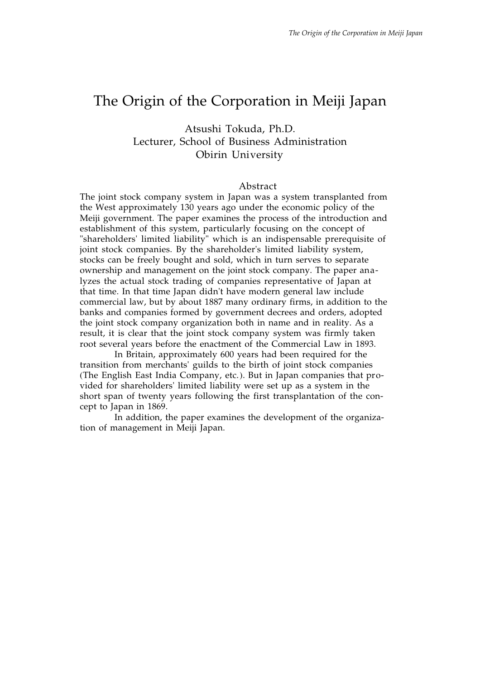# The Origin of the Corporation in Meiji Japan

# Atsushi Tokuda, Ph.D. Lecturer, School of Business Administration Obirin University

#### Abstract

The joint stock company system in Japan was a system transplanted from the West approximately 130 years ago under the economic policy of the Meiji government. The paper examines the process of the introduction and establishment of this system, particularly focusing on the concept of "shareholders' limited liability" which is an indispensable prerequisite of joint stock companies. By the shareholder's limited liability system, stocks can be freely bought and sold, which in turn serves to separate ownership and management on the joint stock company. The paper analyzes the actual stock trading of companies representative of Japan at that time. In that time Japan didn't have modern general law include commercial law, but by about 1887 many ordinary firms, in addition to the banks and companies formed by government decrees and orders, adopted the joint stock company organization both in name and in reality. As a result, it is clear that the joint stock company system was firmly taken root several years before the enactment of the Commercial Law in 1893.

In Britain, approximately 600 years had been required for the transition from merchants' guilds to the birth of joint stock companies (The English East India Company, etc.). But in Japan companies that provided for shareholders' limited liability were set up as a system in the short span of twenty years following the first transplantation of the concept to Japan in 1869.

In addition, the paper examines the development of the organization of management in Meiji Japan.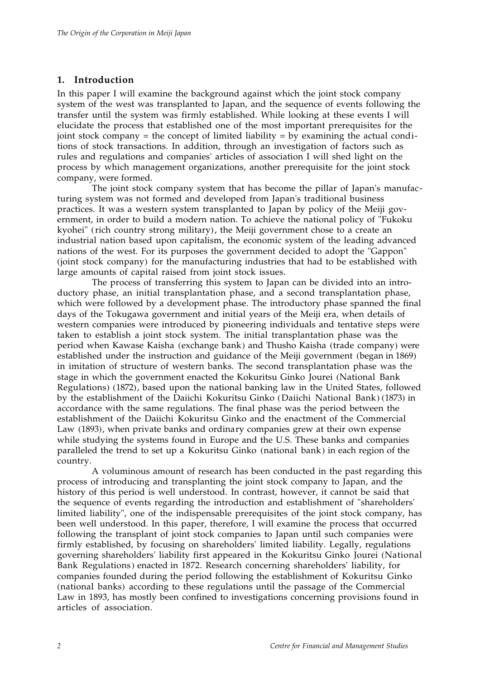# **1. Introduction**

In this paper I will examine the background against which the joint stock company system of the west was transplanted to Japan, and the sequence of events following the transfer until the system was firmly established. While looking at these events I will elucidate the process that established one of the most important prerequisites for the joint stock company = the concept of limited liability =  $\overline{b}y$  examining the actual conditions of stock transactions. In addition, through an investigation of factors such as rules and regulations and companies' articles of association I will shed light on the process by which management organizations, another prerequisite for the joint stock company, were formed.

The joint stock company system that has become the pillar of Japan's manufacturing system was not formed and developed from Japan's traditional business practices. It was a western system transplanted to Japan by policy of the Meiji government, in order to build a modern nation. To achieve the national policy of "Fukoku kyohei" (rich country strong military), the Meiji government chose to a create an industrial nation based upon capitalism, the economic system of the leading advanced nations of the west. For its purposes the government decided to adopt the "Gappon" (joint stock company) for the manufacturing industries that had to be established with large amounts of capital raised from joint stock issues.

The process of transferring this system to Japan can be divided into an introductory phase, an initial transplantation phase, and a second transplantation phase, which were followed by a development phase. The introductory phase spanned the final days of the Tokugawa government and initial years of the Meiji era, when details of western companies were introduced by pioneering individuals and tentative steps were taken to establish a joint stock system. The initial transplantation phase was the period when Kawase Kaisha (exchange bank) and Thusho Kaisha (trade company) were established under the instruction and guidance of the Meiji government (began in 1869) in imitation of structure of western banks. The second transplantation phase was the stage in which the government enacted the Kokuritsu Ginko Jourei (National Bank Regulations) (1872), based upon the national banking law in the United States, followed by the establishment of the Daiichi Kokuritsu Ginko (Daiichi National Bank) (1873) in accordance with the same regulations. The final phase was the period between the establishment of the Daiichi Kokuritsu Ginko and the enactment of the Commercial Law (1893), when private banks and ordinary companies grew at their own expense while studying the systems found in Europe and the U.S. These banks and companies paralleled the trend to set up a Kokuritsu Ginko (national bank) in each region of the country.

A voluminous amount of research has been conducted in the past regarding this process of introducing and transplanting the joint stock company to Japan, and the history of this period is well understood. In contrast, however, it cannot be said that the sequence of events regarding the introduction and establishment of "shareholders' limited liability", one of the indispensable prerequisites of the joint stock company, has been well understood. In this paper, therefore, I will examine the process that occurred following the transplant of joint stock companies to Japan until such companies were firmly established, by focusing on shareholders' limited liability. Legally, regulations governing shareholders' liability first appeared in the Kokuritsu Ginko Jourei (National Bank Regulations) enacted in 1872. Research concerning shareholders' liability, for companies founded during the period following the establishment of Kokuritsu Ginko (national banks) according to these regulations until the passage of the Commercial Law in 1893, has mostly been confined to investigations concerning provisions found in articles of association.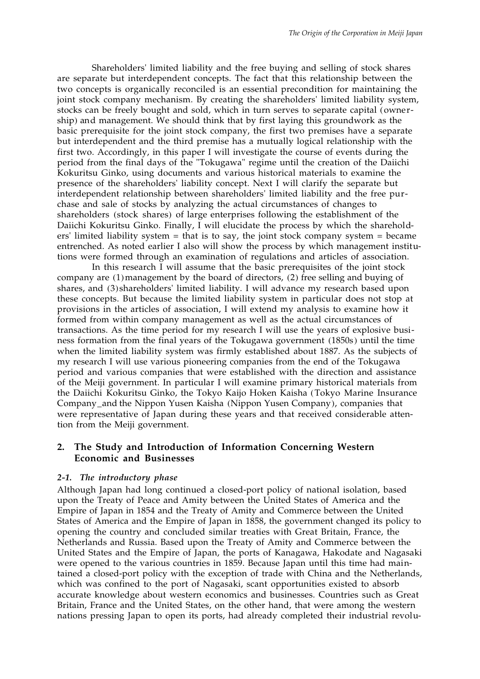Shareholders' limited liability and the free buying and selling of stock shares are separate but interdependent concepts. The fact that this relationship between the two concepts is organically reconciled is an essential precondition for maintaining the joint stock company mechanism. By creating the shareholders' limited liability system, stocks can be freely bought and sold, which in turn serves to separate capital (ownership) and management. We should think that by first laying this groundwork as the basic prerequisite for the joint stock company, the first two premises have a separate but interdependent and the third premise has a mutually logical relationship with the first two. Accordingly, in this paper I will investigate the course of events during the period from the final days of the "Tokugawa" regime until the creation of the Daiichi Kokuritsu Ginko, using documents and various historical materials to examine the presence of the shareholders' liability concept. Next I will clarify the separate but interdependent relationship between shareholders' limited liability and the free purchase and sale of stocks by analyzing the actual circumstances of changes to shareholders (stock shares) of large enterprises following the establishment of the Daiichi Kokuritsu Ginko. Finally, I will elucidate the process by which the shareholders' limited liability system = that is to say, the joint stock company system = became entrenched. As noted earlier I also will show the process by which management institutions were formed through an examination of regulations and articles of association.

In this research I will assume that the basic prerequisites of the joint stock company are (1) management by the board of directors, (2) free selling and buying of shares, and (3) shareholders' limited liability. I will advance my research based upon these concepts. But because the limited liability system in particular does not stop at provisions in the articles of association, I will extend my analysis to examine how it formed from within company management as well as the actual circumstances of transactions. As the time period for my research I will use the years of explosive business formation from the final years of the Tokugawa government (1850s) until the time when the limited liability system was firmly established about 1887. As the subjects of my research I will use various pioneering companies from the end of the Tokugawa period and various companies that were established with the direction and assistance of the Meiji government. In particular I will examine primary historical materials from the Daiichi Kokuritsu Ginko, the Tokyo Kaijo Hoken Kaisha (Tokyo Marine Insurance Company\_and the Nippon Yusen Kaisha (Nippon Yusen Company), companies that were representative of Japan during these years and that received considerable attention from the Meiji government.

# **2. The Study and Introduction of Information Concerning Western Economic and Businesses**

#### *2-1. The introductory phase*

Although Japan had long continued a closed-port policy of national isolation, based upon the Treaty of Peace and Amity between the United States of America and the Empire of Japan in 1854 and the Treaty of Amity and Commerce between the United States of America and the Empire of Japan in 1858, the government changed its policy to opening the country and concluded similar treaties with Great Britain, France, the Netherlands and Russia. Based upon the Treaty of Amity and Commerce between the United States and the Empire of Japan, the ports of Kanagawa, Hakodate and Nagasaki were opened to the various countries in 1859. Because Japan until this time had maintained a closed-port policy with the exception of trade with China and the Netherlands, which was confined to the port of Nagasaki, scant opportunities existed to absorb accurate knowledge about western economics and businesses. Countries such as Great Britain, France and the United States, on the other hand, that were among the western nations pressing Japan to open its ports, had already completed their industrial revolu-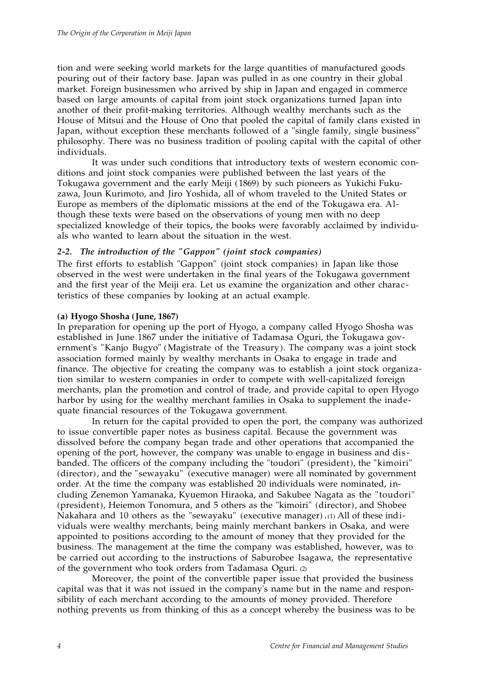tion and were seeking world markets for the large quantities of manufactured goods pouring out of their factory base. Japan was pulled in as one country in their global market. Foreign businessmen who arrived by ship in Japan and engaged in commerce based on large amounts of capital from joint stock organizations turned Japan into another of their profit-making territories. Although wealthy merchants such as the House of Mitsui and the House of Ono that pooled the capital of family clans existed in Japan, without exception these merchants followed of a "single family, single business" philosophy. There was no business tradition of pooling capital with the capital of other individuals.

It was under such conditions that introductory texts of western economic conditions and joint stock companies were published between the last years of the Tokugawa government and the early Meiji (1869) by such pioneers as Yukichi Fukuzawa, Joun Kurimoto, and Jiro Yoshida, all of whom traveled to the United States or Europe as members of the diplomatic missions at the end of the Tokugawa era. Although these texts were based on the observations of young men with no deep specialized knowledge of their topics, the books were favorably acclaimed by individuals who wanted to learn about the situation in the west.

# *2-2. The introduction of the "Gappon" (joint stock companies)*

The first efforts to establish "Gappon" (joint stock companies) in Japan like those observed in the west were undertaken in the final years of the Tokugawa government and the first year of the Meiji era. Let us examine the organization and other characteristics of these companies by looking at an actual example.

## **(a) Hyogo Shosha (June, 1867)**

In preparation for opening up the port of Hyogo, a company called Hyogo Shosha was established in June 1867 under the initiative of Tadamasa Oguri, the Tokugawa government's "Kanjo Bugyo" (Magistrate of the Treasury). The company was a joint stock association formed mainly by wealthy merchants in Osaka to engage in trade and finance. The objective for creating the company was to establish a joint stock organization similar to western companies in order to compete with well-capitalized foreign merchants, plan the promotion and control of trade, and provide capital to open Hyogo harbor by using for the wealthy merchant families in Osaka to supplement the inadequate financial resources of the Tokugawa government.

In return for the capital provided to open the port, the company was authorized to issue convertible paper notes as business capital. Because the government was dissolved before the company began trade and other operations that accompanied the opening of the port, however, the company was unable to engage in business and disbanded. The officers of the company including the "toudori" (president), the "kimoiri" (director), and the "sewayaku" (executive manager) were all nominated by government order. At the time the company was established 20 individuals were nominated, including Zenemon Yamanaka, Kyuemon Hiraoka, and Sakubee Nagata as the "toudori" (president), Heiemon Tonomura, and 5 others as the "kimoiri" (director), and Shobee Nakahara and 10 others as the "sewayaku" (executive manager) .(1) All of these individuals were wealthy merchants, being mainly merchant bankers in Osaka, and were appointed to positions according to the amount of money that they provided for the business. The management at the time the company was established, however, was to be carried out according to the instructions of Saburobee Isagawa, the representative of the government who took orders from Tadamasa Oguri. (2)

Moreover, the point of the convertible paper issue that provided the business capital was that it was not issued in the company's name but in the name and responsibility of each merchant according to the amounts of money provided. Therefore nothing prevents us from thinking of this as a concept whereby the business was to be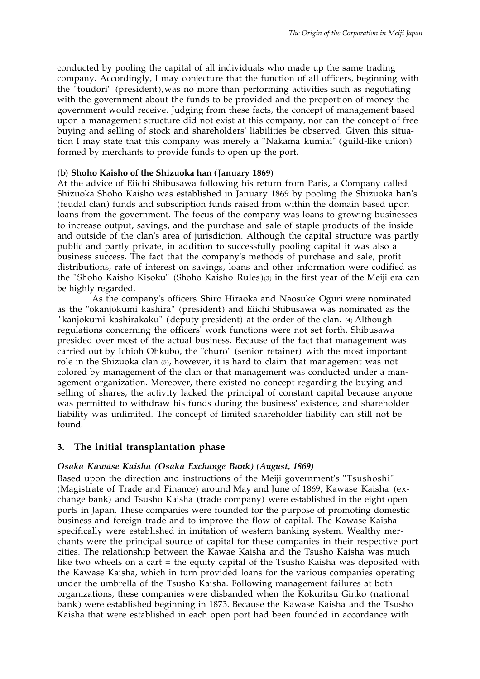conducted by pooling the capital of all individuals who made up the same trading company. Accordingly, I may conjecture that the function of all officers, beginning with the "toudori" (president), was no more than performing activities such as negotiating with the government about the funds to be provided and the proportion of money the government would receive. Judging from these facts, the concept of management based upon a management structure did not exist at this company, nor can the concept of free buying and selling of stock and shareholders' liabilities be observed. Given this situation I may state that this company was merely a "Nakama kumiai" (guild-like union) formed by merchants to provide funds to open up the port.

#### **(b) Shoho Kaisho of the Shizuoka han (January 1869)**

At the advice of Eiichi Shibusawa following his return from Paris, a Company called Shizuoka Shoho Kaisho was established in January 1869 by pooling the Shizuoka han's (feudal clan) funds and subscription funds raised from within the domain based upon loans from the government. The focus of the company was loans to growing businesses to increase output, savings, and the purchase and sale of staple products of the inside and outside of the clan's area of jurisdiction. Although the capital structure was partly public and partly private, in addition to successfully pooling capital it was also a business success. The fact that the company's methods of purchase and sale, profit distributions, rate of interest on savings, loans and other information were codified as the "Shoho Kaisho Kisoku" (Shoho Kaisho Rules)(3) in the first year of the Meiji era can be highly regarded.

As the company's officers Shiro Hiraoka and Naosuke Oguri were nominated as the "okanjokumi kashira" (president) and Eiichi Shibusawa was nominated as the " kanjokumi kashirakaku" (deputy president) at the order of the clan. (4) Although regulations concerning the officers' work functions were not set forth, Shibusawa presided over most of the actual business. Because of the fact that management was carried out by Ichioh Ohkubo, the "churo" (senior retainer) with the most important role in the Shizuoka clan (5), however, it is hard to claim that management was not colored by management of the clan or that management was conducted under a management organization. Moreover, there existed no concept regarding the buying and selling of shares, the activity lacked the principal of constant capital because anyone was permitted to withdraw his funds during the business' existence, and shareholder liability was unlimited. The concept of limited shareholder liability can still not be found.

#### **3. The initial transplantation phase**

#### *Osaka Kawase Kaisha (Osaka Exchange Bank) (August, 1869)*

Based upon the direction and instructions of the Meiji government's "Tsushoshi" (Magistrate of Trade and Finance) around May and June of 1869, Kawase Kaisha (exchange bank) and Tsusho Kaisha (trade company) were established in the eight open ports in Japan. These companies were founded for the purpose of promoting domestic business and foreign trade and to improve the flow of capital. The Kawase Kaisha specifically were established in imitation of western banking system. Wealthy merchants were the principal source of capital for these companies in their respective port cities. The relationship between the Kawae Kaisha and the Tsusho Kaisha was much like two wheels on a cart = the equity capital of the Tsusho Kaisha was deposited with the Kawase Kaisha, which in turn provided loans for the various companies operating under the umbrella of the Tsusho Kaisha. Following management failures at both organizations, these companies were disbanded when the Kokuritsu Ginko (national bank) were established beginning in 1873. Because the Kawase Kaisha and the Tsusho Kaisha that were established in each open port had been founded in accordance with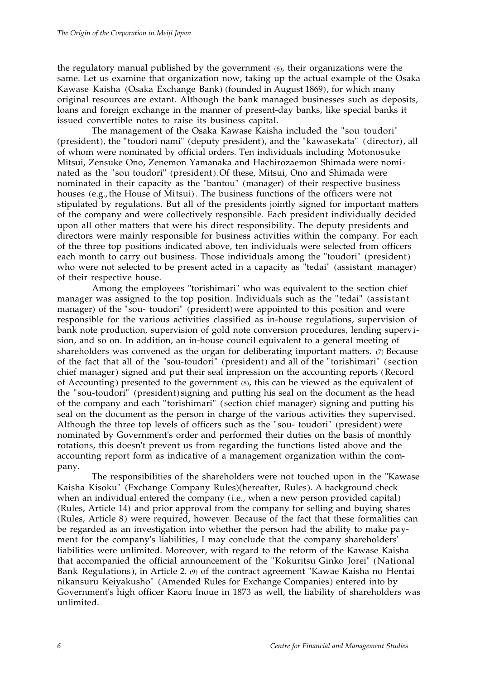the regulatory manual published by the government (6), their organizations were the same. Let us examine that organization now, taking up the actual example of the Osaka Kawase Kaisha (Osaka Exchange Bank) (founded in August 1869), for which many original resources are extant. Although the bank managed businesses such as deposits, loans and foreign exchange in the manner of present-day banks, like special banks it issued convertible notes to raise its business capital.

The management of the Osaka Kawase Kaisha included the "sou toudori" (president), the "toudori nami" (deputy president), and the "kawasekata" (director), all of whom were nominated by official orders. Ten individuals including Motonosuke Mitsui, Zensuke Ono, Zenemon Yamanaka and Hachirozaemon Shimada were nominated as the "sou toudori" (president). Of these, Mitsui, Ono and Shimada were nominated in their capacity as the "bantou" (manager) of their respective business houses (e.g., the House of Mitsui). The business functions of the officers were not stipulated by regulations. But all of the presidents jointly signed for important matters of the company and were collectively responsible. Each president individually decided upon all other matters that were his direct responsibility. The deputy presidents and directors were mainly responsible for business activities within the company. For each of the three top positions indicated above, ten individuals were selected from officers each month to carry out business. Those individuals among the "toudori" (president) who were not selected to be present acted in a capacity as "tedai" (assistant manager) of their respective house.

Among the employees "torishimari" who was equivalent to the section chief manager was assigned to the top position. Individuals such as the "tedai" (assistant manager) of the "sou- toudori" (president) were appointed to this position and were responsible for the various activities classified as in-house regulations, supervision of bank note production, supervision of gold note conversion procedures, lending supervision, and so on. In addition, an in-house council equivalent to a general meeting of shareholders was convened as the organ for deliberating important matters. (7) Because of the fact that all of the "sou-toudori" (president) and all of the "torishimari" ( section chief manager) signed and put their seal impression on the accounting reports (Record of Accounting) presented to the government (8), this can be viewed as the equivalent of the "sou-toudori" (president) signing and putting his seal on the document as the head of the company and each "torishimari" ( section chief manager) signing and putting his seal on the document as the person in charge of the various activities they supervised. Although the three top levels of officers such as the "sou- toudori" (president) were nominated by Government's order and performed their duties on the basis of monthly rotations, this doesn't prevent us from regarding the functions listed above and the accounting report form as indicative of a management organization within the company.

The responsibilities of the shareholders were not touched upon in the "Kawase Kaisha Kisoku" (Exchange Company Rules)(hereafter, Rules). A background check when an individual entered the company (i.e., when a new person provided capital) (Rules, Article 14) and prior approval from the company for selling and buying shares (Rules, Article 8) were required, however. Because of the fact that these formalities can be regarded as an investigation into whether the person had the ability to make payment for the company's liabilities, I may conclude that the company shareholders' liabilities were unlimited. Moreover, with regard to the reform of the Kawase Kaisha that accompanied the official announcement of the "Kokuritsu Ginko Jorei" (National Bank Regulations), in Article 2. (9) of the contract agreement "Kawae Kaisha no Hentai nikansuru Keiyakusho" (Amended Rules for Exchange Companies) entered into by Government's high officer Kaoru Inoue in 1873 as well, the liability of shareholders was unlimited.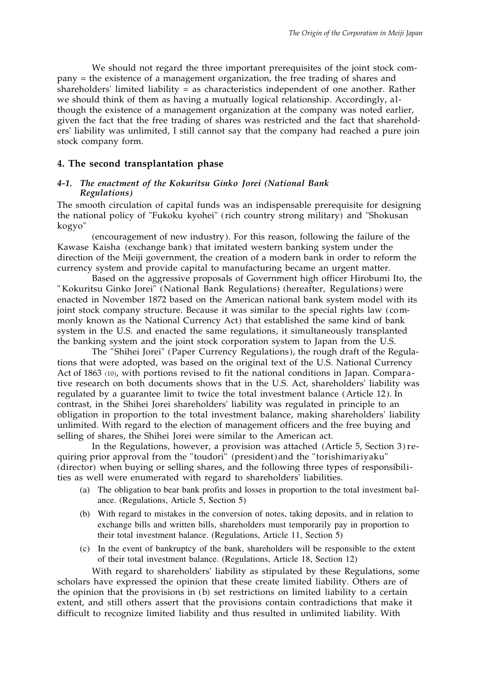We should not regard the three important prerequisites of the joint stock company = the existence of a management organization, the free trading of shares and shareholders' limited liability = as characteristics independent of one another. Rather we should think of them as having a mutually logical relationship. Accordingly, although the existence of a management organization at the company was noted earlier, given the fact that the free trading of shares was restricted and the fact that shareholders' liability was unlimited, I still cannot say that the company had reached a pure join stock company form.

## **4. The second transplantation phase**

#### *4-1. The enactment of the Kokuritsu Ginko Jorei (National Bank Regulations)*

The smooth circulation of capital funds was an indispensable prerequisite for designing the national policy of "Fukoku kyohei" (rich country strong military) and "Shokusan kogyo"

(encouragement of new industry). For this reason, following the failure of the Kawase Kaisha (exchange bank) that imitated western banking system under the direction of the Meiji government, the creation of a modern bank in order to reform the currency system and provide capital to manufacturing became an urgent matter.

Based on the aggressive proposals of Government high officer Hirobumi Ito, the " Kokuritsu Ginko Jorei" (National Bank Regulations) (hereafter, Regulations) were enacted in November 1872 based on the American national bank system model with its joint stock company structure. Because it was similar to the special rights law (commonly known as the National Currency Act) that established the same kind of bank system in the U.S. and enacted the same regulations, it simultaneously transplanted the banking system and the joint stock corporation system to Japan from the U.S.

The "Shihei Jorei" (Paper Currency Regulations), the rough draft of the Regulations that were adopted, was based on the original text of the U.S. National Currency Act of 1863 (10), with portions revised to fit the national conditions in Japan. Comparative research on both documents shows that in the U.S. Act, shareholders' liability was regulated by a guarantee limit to twice the total investment balance (Article 12). In contrast, in the Shihei Jorei shareholders' liability was regulated in principle to an obligation in proportion to the total investment balance, making shareholders' liability unlimited. With regard to the election of management officers and the free buying and selling of shares, the Shihei Jorei were similar to the American act.

In the Regulations, however, a provision was attached (Article 5, Section 3) requiring prior approval from the "toudori" (president) and the "torishimariyaku" (director) when buying or selling shares, and the following three types of responsibilities as well were enumerated with regard to shareholders' liabilities.

- (a) The obligation to bear bank profits and losses in proportion to the total investment balance. (Regulations, Article 5, Section 5)
- (b) With regard to mistakes in the conversion of notes, taking deposits, and in relation to exchange bills and written bills, shareholders must temporarily pay in proportion to their total investment balance. (Regulations, Article 11, Section 5)
- (c) In the event of bankruptcy of the bank, shareholders will be responsible to the extent of their total investment balance. (Regulations, Article 18, Section 12)

With regard to shareholders' liability as stipulated by these Regulations, some scholars have expressed the opinion that these create limited liability. Others are of the opinion that the provisions in (b) set restrictions on limited liability to a certain extent, and still others assert that the provisions contain contradictions that make it difficult to recognize limited liability and thus resulted in unlimited liability. With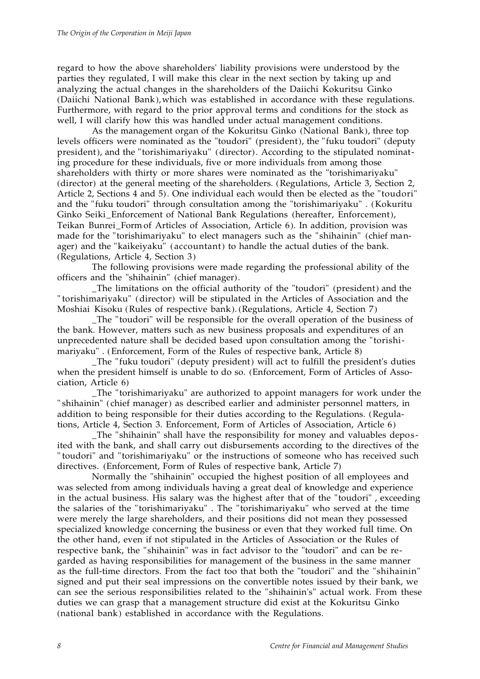regard to how the above shareholders' liability provisions were understood by the parties they regulated, I will make this clear in the next section by taking up and analyzing the actual changes in the shareholders of the Daiichi Kokuritsu Ginko (Daiichi National Bank), which was established in accordance with these regulations. Furthermore, with regard to the prior approval terms and conditions for the stock as well, I will clarify how this was handled under actual management conditions.

As the management organ of the Kokuritsu Ginko (National Bank), three top levels officers were nominated as the "toudori" (president), the "fuku toudori" (deputy president), and the "torishimariyaku" (director). According to the stipulated nominating procedure for these individuals, five or more individuals from among those shareholders with thirty or more shares were nominated as the "torishimariyaku" (director) at the general meeting of the shareholders. (Regulations, Article 3, Section 2, Article 2, Sections 4 and 5). One individual each would then be elected as the "toudori" and the "fuku toudori" through consultation among the "torishimariyaku" . (Kokuritu Ginko Seiki\_Enforcement of National Bank Regulations (hereafter, Enforcement), Teikan Bunrei\_Form of Articles of Association, Article 6). In addition, provision was made for the "torishimariyaku" to elect managers such as the "shihainin" (chief manager) and the "kaikeiyaku" (accountant) to handle the actual duties of the bank. (Regulations, Article 4, Section 3)

The following provisions were made regarding the professional ability of the officers and the "shihainin" (chief manager).

\_The limitations on the official authority of the "toudori" (president) and the " torishimariyaku" (director) will be stipulated in the Articles of Association and the Moshiai Kisoku (Rules of respective bank). (Regulations, Article 4, Section 7)

\_The "toudori" will be responsible for the overall operation of the business of the bank. However, matters such as new business proposals and expenditures of an unprecedented nature shall be decided based upon consultation among the "torishimariyaku" . (Enforcement, Form of the Rules of respective bank, Article 8)

\_The "fuku toudori" (deputy president) will act to fulfill the president's duties when the president himself is unable to do so. (Enforcement, Form of Articles of Association, Article 6)

\_The "torishimariyaku" are authorized to appoint managers for work under the " shihainin" (chief manager) as described earlier and administer personnel matters, in addition to being responsible for their duties according to the Regulations. (Regulations, Article 4, Section 3. Enforcement, Form of Articles of Association, Article 6)

\_The "shihainin" shall have the responsibility for money and valuables deposited with the bank, and shall carry out disbursements according to the directives of the " toudori" and "torishimariyaku" or the instructions of someone who has received such directives. (Enforcement, Form of Rules of respective bank, Article 7)

Normally the "shihainin" occupied the highest position of all employees and was selected from among individuals having a great deal of knowledge and experience in the actual business. His salary was the highest after that of the "toudori" , exceeding the salaries of the "torishimariyaku" . The "torishimariyaku" who served at the time were merely the large shareholders, and their positions did not mean they possessed specialized knowledge concerning the business or even that they worked full time. On the other hand, even if not stipulated in the Articles of Association or the Rules of respective bank, the "shihainin" was in fact advisor to the "toudori" and can be regarded as having responsibilities for management of the business in the same manner as the full-time directors. From the fact too that both the "toudori" and the "shihainin" signed and put their seal impressions on the convertible notes issued by their bank, we can see the serious responsibilities related to the "shihainin's" actual work. From these duties we can grasp that a management structure did exist at the Kokuritsu Ginko (national bank) established in accordance with the Regulations.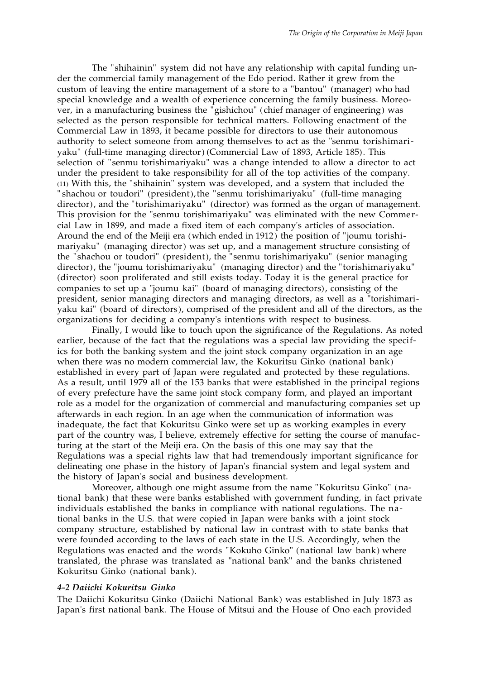The "shihainin" system did not have any relationship with capital funding under the commercial family management of the Edo period. Rather it grew from the custom of leaving the entire management of a store to a "bantou" (manager) who had special knowledge and a wealth of experience concerning the family business. Moreover, in a manufacturing business the "gishichou" (chief manager of engineering) was selected as the person responsible for technical matters. Following enactment of the Commercial Law in 1893, it became possible for directors to use their autonomous authority to select someone from among themselves to act as the "senmu torishimariyaku" (full-time managing director) (Commercial Law of 1893, Article 185). This selection of "senmu torishimariyaku" was a change intended to allow a director to act under the president to take responsibility for all of the top activities of the company. (11) With this, the "shihainin" system was developed, and a system that included the " shachou or toudori" (president), the "senmu torishimariyaku" (full-time managing director), and the "torishimariyaku" (director) was formed as the organ of management. This provision for the "senmu torishimariyaku" was eliminated with the new Commercial Law in 1899, and made a fixed item of each company's articles of association. Around the end of the Meiji era (which ended in 1912) the position of "joumu torishimariyaku" (managing director) was set up, and a management structure consisting of the "shachou or toudori" (president), the "senmu torishimariyaku" (senior managing director), the "joumu torishimariyaku" (managing director) and the "torishimariyaku" (director) soon proliferated and still exists today. Today it is the general practice for companies to set up a "joumu kai" (board of managing directors), consisting of the president, senior managing directors and managing directors, as well as a "torishimariyaku kai" (board of directors), comprised of the president and all of the directors, as the organizations for deciding a company's intentions with respect to business.

Finally, I would like to touch upon the significance of the Regulations. As noted earlier, because of the fact that the regulations was a special law providing the specifics for both the banking system and the joint stock company organization in an age when there was no modern commercial law, the Kokuritsu Ginko (national bank) established in every part of Japan were regulated and protected by these regulations. As a result, until 1979 all of the 153 banks that were established in the principal regions of every prefecture have the same joint stock company form, and played an important role as a model for the organization of commercial and manufacturing companies set up afterwards in each region. In an age when the communication of information was inadequate, the fact that Kokuritsu Ginko were set up as working examples in every part of the country was, I believe, extremely effective for setting the course of manufacturing at the start of the Meiji era. On the basis of this one may say that the Regulations was a special rights law that had tremendously important significance for delineating one phase in the history of Japan's financial system and legal system and the history of Japan's social and business development.

Moreover, although one might assume from the name "Kokuritsu Ginko" (national bank) that these were banks established with government funding, in fact private individuals established the banks in compliance with national regulations. The national banks in the U.S. that were copied in Japan were banks with a joint stock company structure, established by national law in contrast with to state banks that were founded according to the laws of each state in the U.S. Accordingly, when the Regulations was enacted and the words "Kokuho Ginko" (national law bank) where translated, the phrase was translated as "national bank" and the banks christened Kokuritsu Ginko (national bank).

## *4-2 Daiichi Kokuritsu Ginko*

The Daiichi Kokuritsu Ginko (Daiichi National Bank) was established in July 1873 as Japan's first national bank. The House of Mitsui and the House of Ono each provided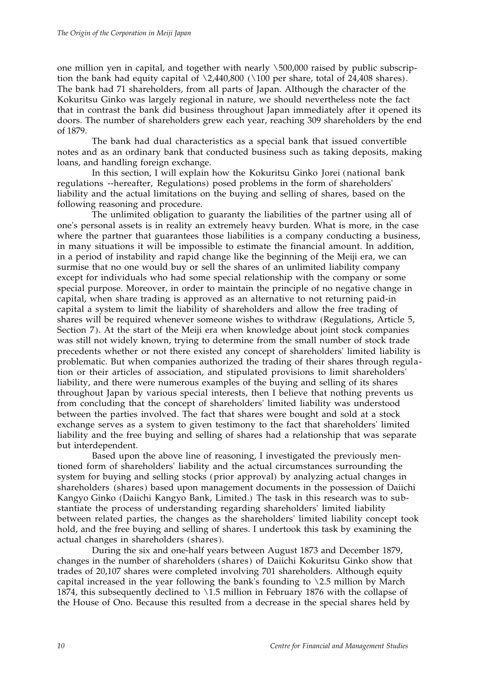one million yen in capital, and together with nearly \500,000 raised by public subscription the bank had equity capital of  $\lambda$ 2,440,800 ( $\lambda$ 100 per share, total of 24,408 shares). The bank had 71 shareholders, from all parts of Japan. Although the character of the Kokuritsu Ginko was largely regional in nature, we should nevertheless note the fact that in contrast the bank did business throughout Japan immediately after it opened its doors. The number of shareholders grew each year, reaching 309 shareholders by the end of 1879.

The bank had dual characteristics as a special bank that issued convertible notes and as an ordinary bank that conducted business such as taking deposits, making loans, and handling foreign exchange.

In this section, I will explain how the Kokuritsu Ginko Jorei (national bank regulations --hereafter, Regulations) posed problems in the form of shareholders' liability and the actual limitations on the buying and selling of shares, based on the following reasoning and procedure.

The unlimited obligation to guaranty the liabilities of the partner using all of one's personal assets is in reality an extremely heavy burden. What is more, in the case where the partner that guarantees those liabilities is a company conducting a business, in many situations it will be impossible to estimate the financial amount. In addition, in a period of instability and rapid change like the beginning of the Meiji era, we can surmise that no one would buy or sell the shares of an unlimited liability company except for individuals who had some special relationship with the company or some special purpose. Moreover, in order to maintain the principle of no negative change in capital, when share trading is approved as an alternative to not returning paid-in capital a system to limit the liability of shareholders and allow the free trading of shares will be required whenever someone wishes to withdraw (Regulations, Article 5, Section 7). At the start of the Meiji era when knowledge about joint stock companies was still not widely known, trying to determine from the small number of stock trade precedents whether or not there existed any concept of shareholders' limited liability is problematic. But when companies authorized the trading of their shares through regulation or their articles of association, and stipulated provisions to limit shareholders' liability, and there were numerous examples of the buying and selling of its shares throughout Japan by various special interests, then I believe that nothing prevents us from concluding that the concept of shareholders' limited liability was understood between the parties involved. The fact that shares were bought and sold at a stock exchange serves as a system to given testimony to the fact that shareholders' limited liability and the free buying and selling of shares had a relationship that was separate but interdependent.

Based upon the above line of reasoning, I investigated the previously mentioned form of shareholders' liability and the actual circumstances surrounding the system for buying and selling stocks (prior approval) by analyzing actual changes in shareholders (shares) based upon management documents in the possession of Daiichi Kangyo Ginko (Daiichi Kangyo Bank, Limited.) The task in this research was to substantiate the process of understanding regarding shareholders' limited liability between related parties, the changes as the shareholders' limited liability concept took hold, and the free buying and selling of shares. I undertook this task by examining the actual changes in shareholders ( shares).

During the six and one-half years between August 1873 and December 1879, changes in the number of shareholders (shares) of Daiichi Kokuritsu Ginko show that trades of 20,107 shares were completed involving 701 shareholders. Although equity capital increased in the year following the bank's founding to  $\2.5$  million by March 1874, this subsequently declined to  $\overline{1.5}$  million in February 1876 with the collapse of the House of Ono. Because this resulted from a decrease in the special shares held by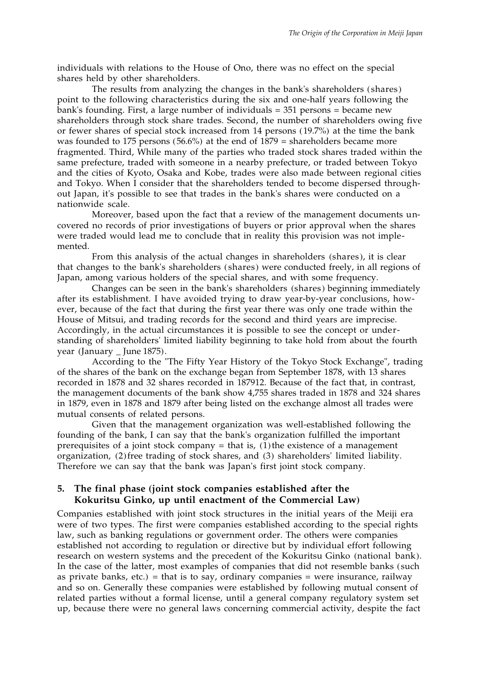individuals with relations to the House of Ono, there was no effect on the special shares held by other shareholders.

The results from analyzing the changes in the bank's shareholders (shares) point to the following characteristics during the six and one-half years following the bank's founding. First, a large number of individuals = 351 persons = became new shareholders through stock share trades. Second, the number of shareholders owing five or fewer shares of special stock increased from 14 persons (19.7%) at the time the bank was founded to 175 persons (56.6%) at the end of 1879 = shareholders became more fragmented. Third, While many of the parties who traded stock shares traded within the same prefecture, traded with someone in a nearby prefecture, or traded between Tokyo and the cities of Kyoto, Osaka and Kobe, trades were also made between regional cities and Tokyo. When I consider that the shareholders tended to become dispersed throughout Japan, it's possible to see that trades in the bank's shares were conducted on a nationwide scale.

Moreover, based upon the fact that a review of the management documents uncovered no records of prior investigations of buyers or prior approval when the shares were traded would lead me to conclude that in reality this provision was not implemented.

From this analysis of the actual changes in shareholders (shares), it is clear that changes to the bank's shareholders ( shares) were conducted freely, in all regions of Japan, among various holders of the special shares, and with some frequency.

Changes can be seen in the bank's shareholders (shares) beginning immediately after its establishment. I have avoided trying to draw year-by-year conclusions, however, because of the fact that during the first year there was only one trade within the House of Mitsui, and trading records for the second and third years are imprecise. Accordingly, in the actual circumstances it is possible to see the concept or understanding of shareholders' limited liability beginning to take hold from about the fourth year (January \_ June 1875).

According to the "The Fifty Year History of the Tokyo Stock Exchange", trading of the shares of the bank on the exchange began from September 1878, with 13 shares recorded in 1878 and 32 shares recorded in 187912. Because of the fact that, in contrast, the management documents of the bank show 4,755 shares traded in 1878 and 324 shares in 1879, even in 1878 and 1879 after being listed on the exchange almost all trades were mutual consents of related persons.

Given that the management organization was well-established following the founding of the bank, I can say that the bank's organization fulfilled the important prerequisites of a joint stock company  $=$  that is, (1) the existence of a management organization, (2) free trading of stock shares, and (3) shareholders' limited liability. Therefore we can say that the bank was Japan's first joint stock company.

## **5. The final phase (joint stock companies established after the Kokuritsu Ginko, up until enactment of the Commercial Law)**

Companies established with joint stock structures in the initial years of the Meiji era were of two types. The first were companies established according to the special rights law, such as banking regulations or government order. The others were companies established not according to regulation or directive but by individual effort following research on western systems and the precedent of the Kokuritsu Ginko (national bank). In the case of the latter, most examples of companies that did not resemble banks (such as private banks, etc.) = that is to say, ordinary companies = were insurance, railway and so on. Generally these companies were established by following mutual consent of related parties without a formal license, until a general company regulatory system set up, because there were no general laws concerning commercial activity, despite the fact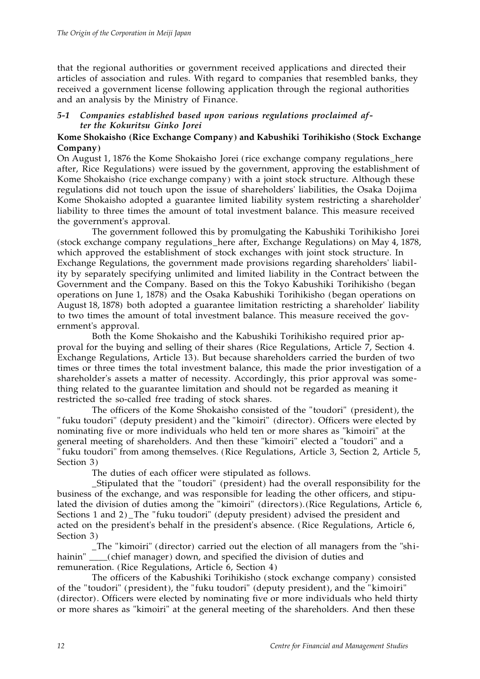that the regional authorities or government received applications and directed their articles of association and rules. With regard to companies that resembled banks, they received a government license following application through the regional authorities and an analysis by the Ministry of Finance.

# *5-1 Companies established based upon various regulations proclaimed after the Kokuritsu Ginko Jorei*

# **Kome Shokaisho (Rice Exchange Company) and Kabushiki Torihikisho (Stock Exchange Company)**

On August 1, 1876 the Kome Shokaisho Jorei (rice exchange company regulations\_here after, Rice Regulations) were issued by the government, approving the establishment of Kome Shokaisho (rice exchange company) with a joint stock structure. Although these regulations did not touch upon the issue of shareholders' liabilities, the Osaka Dojima Kome Shokaisho adopted a guarantee limited liability system restricting a shareholder' liability to three times the amount of total investment balance. This measure received the government's approval.

The government followed this by promulgating the Kabushiki Torihikisho Jorei (stock exchange company regulations\_here after, Exchange Regulations) on May 4, 1878, which approved the establishment of stock exchanges with joint stock structure. In Exchange Regulations, the government made provisions regarding shareholders' liability by separately specifying unlimited and limited liability in the Contract between the Government and the Company. Based on this the Tokyo Kabushiki Torihikisho (began operations on June 1, 1878) and the Osaka Kabushiki Torihikisho (began operations on August 18, 1878) both adopted a guarantee limitation restricting a shareholder' liability to two times the amount of total investment balance. This measure received the government's approval.

Both the Kome Shokaisho and the Kabushiki Torihikisho required prior approval for the buying and selling of their shares (Rice Regulations, Article 7, Section 4. Exchange Regulations, Article 13). But because shareholders carried the burden of two times or three times the total investment balance, this made the prior investigation of a shareholder's assets a matter of necessity. Accordingly, this prior approval was something related to the guarantee limitation and should not be regarded as meaning it restricted the so-called free trading of stock shares.

The officers of the Kome Shokaisho consisted of the "toudori" (president), the " fuku toudori" (deputy president) and the "kimoiri" (director). Officers were elected by nominating five or more individuals who held ten or more shares as "kimoiri" at the general meeting of shareholders. And then these "kimoiri" elected a "toudori" and a " fuku toudori" from among themselves. (Rice Regulations, Article 3, Section 2, Article 5, Section 3)

The duties of each officer were stipulated as follows.

\_Stipulated that the "toudori" (president) had the overall responsibility for the business of the exchange, and was responsible for leading the other officers, and stipulated the division of duties among the "kimoiri" (directors). (Rice Regulations, Article 6, Sections 1 and 2) \_The "fuku toudori" (deputy president) advised the president and acted on the president's behalf in the president's absence. (Rice Regulations, Article 6, Section 3)

\_The "kimoiri" (director) carried out the election of all managers from the "shihainin" \_\_\_(chief manager) down, and specified the division of duties and remuneration. (Rice Regulations, Article 6, Section 4)

The officers of the Kabushiki Torihikisho (stock exchange company) consisted of the "toudori" (president), the "fuku toudori" (deputy president), and the "kimoiri" (director). Officers were elected by nominating five or more individuals who held thirty or more shares as "kimoiri" at the general meeting of the shareholders. And then these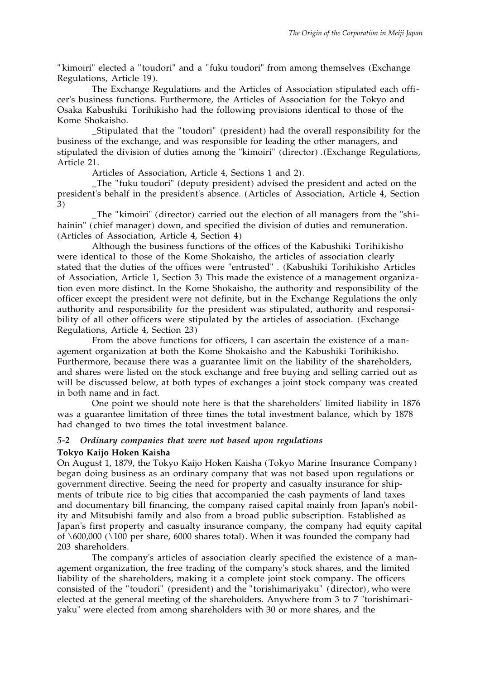" kimoiri" elected a "toudori" and a "fuku toudori" from among themselves (Exchange Regulations, Article 19).

The Exchange Regulations and the Articles of Association stipulated each officer's business functions. Furthermore, the Articles of Association for the Tokyo and Osaka Kabushiki Torihikisho had the following provisions identical to those of the Kome Shokaisho.

\_Stipulated that the "toudori" (president) had the overall responsibility for the business of the exchange, and was responsible for leading the other managers, and stipulated the division of duties among the "kimoiri" (director) .(Exchange Regulations, Article 21.

Articles of Association, Article 4, Sections 1 and 2).

\_The "fuku toudori" (deputy president) advised the president and acted on the president's behalf in the president's absence. (Articles of Association, Article 4, Section 3)

\_The "kimoiri" (director) carried out the election of all managers from the "shihainin" (chief manager) down, and specified the division of duties and remuneration. (Articles of Association, Article 4, Section 4)

Although the business functions of the offices of the Kabushiki Torihikisho were identical to those of the Kome Shokaisho, the articles of association clearly stated that the duties of the offices were "entrusted" . (Kabushiki Torihikisho Articles of Association, Article 1, Section 3) This made the existence of a management organization even more distinct. In the Kome Shokaisho, the authority and responsibility of the officer except the president were not definite, but in the Exchange Regulations the only authority and responsibility for the president was stipulated, authority and responsibility of all other officers were stipulated by the articles of association. (Exchange Regulations, Article 4, Section 23)

From the above functions for officers, I can ascertain the existence of a management organization at both the Kome Shokaisho and the Kabushiki Torihikisho. Furthermore, because there was a guarantee limit on the liability of the shareholders, and shares were listed on the stock exchange and free buying and selling carried out as will be discussed below, at both types of exchanges a joint stock company was created in both name and in fact.

One point we should note here is that the shareholders' limited liability in 1876 was a guarantee limitation of three times the total investment balance, which by 1878 had changed to two times the total investment balance.

# *5-2 Ordinary companies that were not based upon regulations* **Tokyo Kaijo Hoken Kaisha**

On August 1, 1879, the Tokyo Kaijo Hoken Kaisha (Tokyo Marine Insurance Company) began doing business as an ordinary company that was not based upon regulations or government directive. Seeing the need for property and casualty insurance for shipments of tribute rice to big cities that accompanied the cash payments of land taxes and documentary bill financing, the company raised capital mainly from Japan's nobility and Mitsubishi family and also from a broad public subscription. Established as Japan's first property and casualty insurance company, the company had equity capital of  $\setminus 600,000$  ( $\setminus 100$  per share, 6000 shares total). When it was founded the company had 203 shareholders.

The company's articles of association clearly specified the existence of a management organization, the free trading of the company's stock shares, and the limited liability of the shareholders, making it a complete joint stock company. The officers consisted of the "toudori" (president) and the "torishimariyaku" (director), who were elected at the general meeting of the shareholders. Anywhere from 3 to 7 "torishimariyaku" were elected from among shareholders with 30 or more shares, and the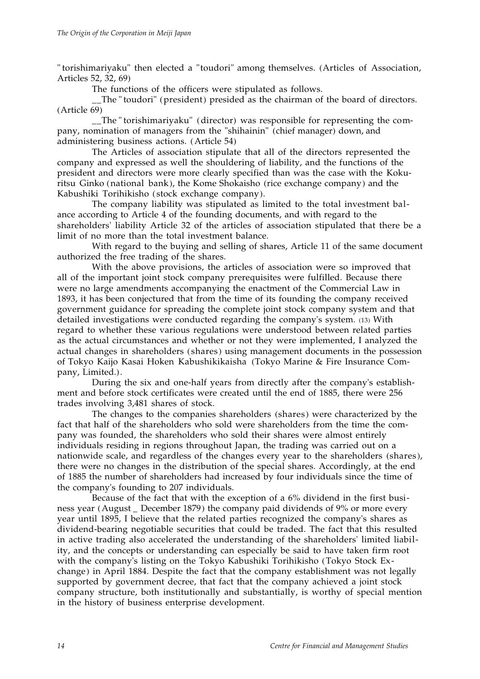" torishimariyaku" then elected a "toudori" among themselves. (Articles of Association, Articles 52, 32, 69)

The functions of the officers were stipulated as follows.

\_\_The " toudori" (president) presided as the chairman of the board of directors. (Article 69)

\_\_The "torishimariyaku" (director) was responsible for representing the company, nomination of managers from the "shihainin" (chief manager) down, and administering business actions. (Article 54)

The Articles of association stipulate that all of the directors represented the company and expressed as well the shouldering of liability, and the functions of the president and directors were more clearly specified than was the case with the Kokuritsu Ginko (national bank), the Kome Shokaisho (rice exchange company) and the Kabushiki Torihikisho ( stock exchange company).

The company liability was stipulated as limited to the total investment balance according to Article 4 of the founding documents, and with regard to the shareholders' liability Article 32 of the articles of association stipulated that there be a limit of no more than the total investment balance.

With regard to the buying and selling of shares, Article 11 of the same document authorized the free trading of the shares.

With the above provisions, the articles of association were so improved that all of the important joint stock company prerequisites were fulfilled. Because there were no large amendments accompanying the enactment of the Commercial Law in 1893, it has been conjectured that from the time of its founding the company received government guidance for spreading the complete joint stock company system and that detailed investigations were conducted regarding the company's system. (13) With regard to whether these various regulations were understood between related parties as the actual circumstances and whether or not they were implemented, I analyzed the actual changes in shareholders ( shares) using management documents in the possession of Tokyo Kaijo Kasai Hoken Kabushikikaisha (Tokyo Marine & Fire Insurance Company, Limited.).

During the six and one-half years from directly after the company's establishment and before stock certificates were created until the end of 1885, there were 256 trades involving 3,481 shares of stock.

The changes to the companies shareholders (shares) were characterized by the fact that half of the shareholders who sold were shareholders from the time the company was founded, the shareholders who sold their shares were almost entirely individuals residing in regions throughout Japan, the trading was carried out on a nationwide scale, and regardless of the changes every year to the shareholders (shares), there were no changes in the distribution of the special shares. Accordingly, at the end of 1885 the number of shareholders had increased by four individuals since the time of the company's founding to 207 individuals.

Because of the fact that with the exception of a 6% dividend in the first business year (August \_ December 1879) the company paid dividends of 9% or more every year until 1895, I believe that the related parties recognized the company's shares as dividend-bearing negotiable securities that could be traded. The fact that this resulted in active trading also accelerated the understanding of the shareholders' limited liability, and the concepts or understanding can especially be said to have taken firm root with the company's listing on the Tokyo Kabushiki Torihikisho (Tokyo Stock Exchange) in April 1884. Despite the fact that the company establishment was not legally supported by government decree, that fact that the company achieved a joint stock company structure, both institutionally and substantially, is worthy of special mention in the history of business enterprise development.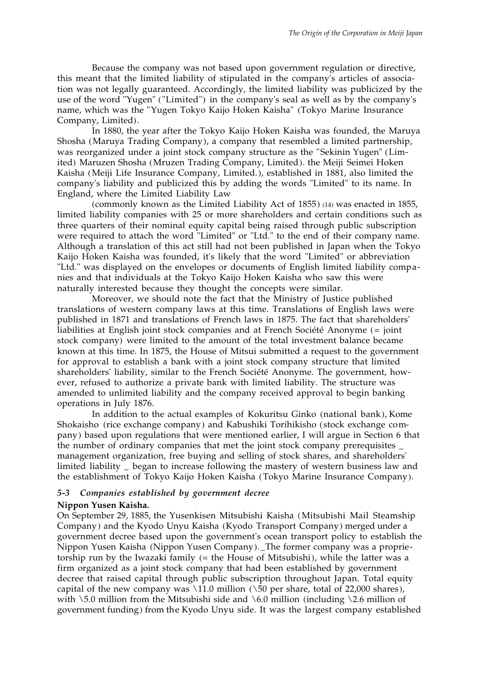Because the company was not based upon government regulation or directive, this meant that the limited liability of stipulated in the company's articles of association was not legally guaranteed. Accordingly, the limited liability was publicized by the use of the word "Yugen" ("Limited") in the company's seal as well as by the company's name, which was the "Yugen Tokyo Kaijo Hoken Kaisha" (Tokyo Marine Insurance Company, Limited).

In 1880, the year after the Tokyo Kaijo Hoken Kaisha was founded, the Maruya Shosha (Maruya Trading Company), a company that resembled a limited partnership, was reorganized under a joint stock company structure as the "Sekinin Yugen" (Limited) Maruzen Shosha (Mruzen Trading Company, Limited). the Meiji Seimei Hoken Kaisha (Meiji Life Insurance Company, Limited.), established in 1881, also limited the company's liability and publicized this by adding the words "Limited" to its name. In England, where the Limited Liability Law

(commonly known as the Limited Liability Act of 1855) (14) was enacted in 1855, limited liability companies with 25 or more shareholders and certain conditions such as three quarters of their nominal equity capital being raised through public subscription were required to attach the word "Limited" or "Ltd." to the end of their company name. Although a translation of this act still had not been published in Japan when the Tokyo Kaijo Hoken Kaisha was founded, it's likely that the word "Limited" or abbreviation "Ltd." was displayed on the envelopes or documents of English limited liability companies and that individuals at the Tokyo Kaijo Hoken Kaisha who saw this were naturally interested because they thought the concepts were similar.

Moreover, we should note the fact that the Ministry of Justice published translations of western company laws at this time. Translations of English laws were published in 1871 and translations of French laws in 1875. The fact that shareholders' liabilities at English joint stock companies and at French Société Anonyme (= joint stock company) were limited to the amount of the total investment balance became known at this time. In 1875, the House of Mitsui submitted a request to the government for approval to establish a bank with a joint stock company structure that limited shareholders' liability, similar to the French Société Anonyme. The government, however, refused to authorize a private bank with limited liability. The structure was amended to unlimited liability and the company received approval to begin banking operations in July 1876.

In addition to the actual examples of Kokuritsu Ginko (national bank), Kome Shokaisho (rice exchange company) and Kabushiki Torihikisho (stock exchange company) based upon regulations that were mentioned earlier, I will argue in Section 6 that the number of ordinary companies that met the joint stock company prerequisites \_ management organization, free buying and selling of stock shares, and shareholders' limited liability \_ began to increase following the mastery of western business law and the establishment of Tokyo Kaijo Hoken Kaisha (Tokyo Marine Insurance Company).

### *5-3 Companies established by government decree*

#### **Nippon Yusen Kaisha.**

On September 29, 1885, the Yusenkisen Mitsubishi Kaisha (Mitsubishi Mail Steamship Company) and the Kyodo Unyu Kaisha (Kyodo Transport Company) merged under a government decree based upon the government's ocean transport policy to establish the Nippon Yusen Kaisha (Nippon Yusen Company). \_The former company was a proprietorship run by the Iwazaki family (= the House of Mitsubishi), while the latter was a firm organized as a joint stock company that had been established by government decree that raised capital through public subscription throughout Japan. Total equity capital of the new company was \11.0 million ( $\overline{\smash{\big)}\}$  per share, total of 22,000 shares), with  $\setminus$  5.0 million from the Mitsubishi side and  $\setminus$  6.0 million (including  $\setminus$  2.6 million of government funding) from the Kyodo Unyu side. It was the largest company established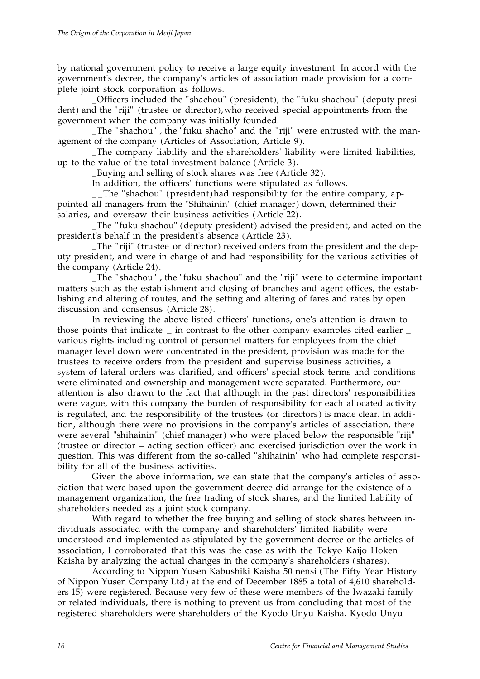by national government policy to receive a large equity investment. In accord with the government's decree, the company's articles of association made provision for a complete joint stock corporation as follows.

\_Officers included the "shachou" (president), the "fuku shachou" (deputy president) and the "riji" (trustee or director), who received special appointments from the government when the company was initially founded.

\_The "shachou" , the "fuku shacho" and the "riji" were entrusted with the management of the company (Articles of Association, Article 9).

\_The company liability and the shareholders' liability were limited liabilities, up to the value of the total investment balance (Article 3).

\_Buying and selling of stock shares was free (Article 32).

In addition, the officers' functions were stipulated as follows.

The "shachou" (president) had responsibility for the entire company, appointed all managers from the "Shihainin" (chief manager) down, determined their salaries, and oversaw their business activities (Article 22).

\_The "fuku shachou" (deputy president) advised the president, and acted on the president's behalf in the president's absence (Article 23).

The "riji" (trustee or director) received orders from the president and the deputy president, and were in charge of and had responsibility for the various activities of the company (Article 24).

\_The "shachou" , the "fuku shachou" and the "riji" were to determine important matters such as the establishment and closing of branches and agent offices, the establishing and altering of routes, and the setting and altering of fares and rates by open discussion and consensus (Article 28).

In reviewing the above-listed officers' functions, one's attention is drawn to those points that indicate \_ in contrast to the other company examples cited earlier \_ various rights including control of personnel matters for employees from the chief manager level down were concentrated in the president, provision was made for the trustees to receive orders from the president and supervise business activities, a system of lateral orders was clarified, and officers' special stock terms and conditions were eliminated and ownership and management were separated. Furthermore, our attention is also drawn to the fact that although in the past directors' responsibilities were vague, with this company the burden of responsibility for each allocated activity is regulated, and the responsibility of the trustees (or directors) is made clear. In addition, although there were no provisions in the company's articles of association, there were several "shihainin" (chief manager) who were placed below the responsible "riji" (trustee or director = acting section officer) and exercised jurisdiction over the work in question. This was different from the so-called "shihainin" who had complete responsibility for all of the business activities.

Given the above information, we can state that the company's articles of association that were based upon the government decree did arrange for the existence of a management organization, the free trading of stock shares, and the limited liability of shareholders needed as a joint stock company.

With regard to whether the free buying and selling of stock shares between individuals associated with the company and shareholders' limited liability were understood and implemented as stipulated by the government decree or the articles of association, I corroborated that this was the case as with the Tokyo Kaijo Hoken Kaisha by analyzing the actual changes in the company's shareholders (shares).

According to Nippon Yusen Kabushiki Kaisha 50 nensi (The Fifty Year History of Nippon Yusen Company Ltd) at the end of December 1885 a total of 4,610 shareholders 15) were registered. Because very few of these were members of the Iwazaki family or related individuals, there is nothing to prevent us from concluding that most of the registered shareholders were shareholders of the Kyodo Unyu Kaisha. Kyodo Unyu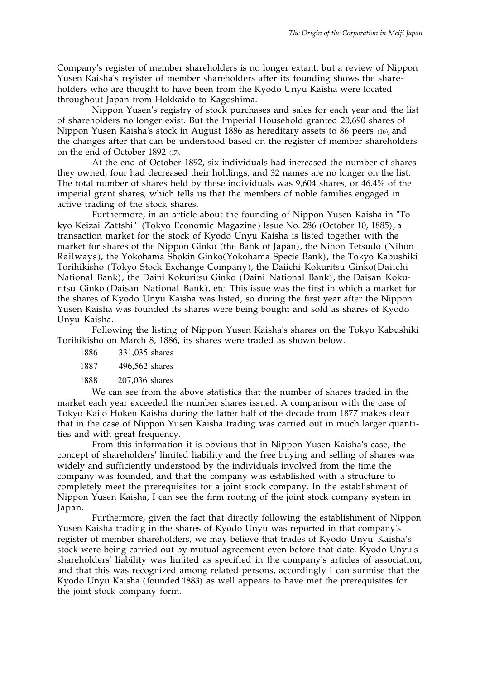Company's register of member shareholders is no longer extant, but a review of Nippon Yusen Kaisha's register of member shareholders after its founding shows the shareholders who are thought to have been from the Kyodo Unyu Kaisha were located throughout Japan from Hokkaido to Kagoshima.

Nippon Yusen's registry of stock purchases and sales for each year and the list of shareholders no longer exist. But the Imperial Household granted 20,690 shares of Nippon Yusen Kaisha's stock in August 1886 as hereditary assets to 86 peers (16), and the changes after that can be understood based on the register of member shareholders on the end of October 1892 (17).

At the end of October 1892, six individuals had increased the number of shares they owned, four had decreased their holdings, and 32 names are no longer on the list. The total number of shares held by these individuals was 9,604 shares, or 46.4% of the imperial grant shares, which tells us that the members of noble families engaged in active trading of the stock shares.

Furthermore, in an article about the founding of Nippon Yusen Kaisha in "Tokyo Keizai Zattshi" (Tokyo Economic Magazine) Issue No. 286 (October 10, 1885), a transaction market for the stock of Kyodo Unyu Kaisha is listed together with the market for shares of the Nippon Ginko (the Bank of Japan), the Nihon Tetsudo (Nihon Railways), the Yokohama Shokin Ginko(Yokohama Specie Bank), the Tokyo Kabushiki Torihikisho (Tokyo Stock Exchange Company), the Daiichi Kokuritsu Ginko(Daiichi National Bank), the Daini Kokuritsu Ginko (Daini National Bank), the Daisan Kokuritsu Ginko (Daisan National Bank), etc. This issue was the first in which a market for the shares of Kyodo Unyu Kaisha was listed, so during the first year after the Nippon Yusen Kaisha was founded its shares were being bought and sold as shares of Kyodo Unyu Kaisha.

Following the listing of Nippon Yusen Kaisha's shares on the Tokyo Kabushiki Torihikisho on March 8, 1886, its shares were traded as shown below.

1886 331,035 shares

1887 496,562 shares

1888 207,036 shares

We can see from the above statistics that the number of shares traded in the market each year exceeded the number shares issued. A comparison with the case of Tokyo Kaijo Hoken Kaisha during the latter half of the decade from 1877 makes clear that in the case of Nippon Yusen Kaisha trading was carried out in much larger quantities and with great frequency.

From this information it is obvious that in Nippon Yusen Kaisha's case, the concept of shareholders' limited liability and the free buying and selling of shares was widely and sufficiently understood by the individuals involved from the time the company was founded, and that the company was established with a structure to completely meet the prerequisites for a joint stock company. In the establishment of Nippon Yusen Kaisha, I can see the firm rooting of the joint stock company system in Japan.

Furthermore, given the fact that directly following the establishment of Nippon Yusen Kaisha trading in the shares of Kyodo Unyu was reported in that company's register of member shareholders, we may believe that trades of Kyodo Unyu Kaisha's stock were being carried out by mutual agreement even before that date. Kyodo Unyu's shareholders' liability was limited as specified in the company's articles of association, and that this was recognized among related persons, accordingly I can surmise that the Kyodo Unyu Kaisha (founded 1883) as well appears to have met the prerequisites for the joint stock company form.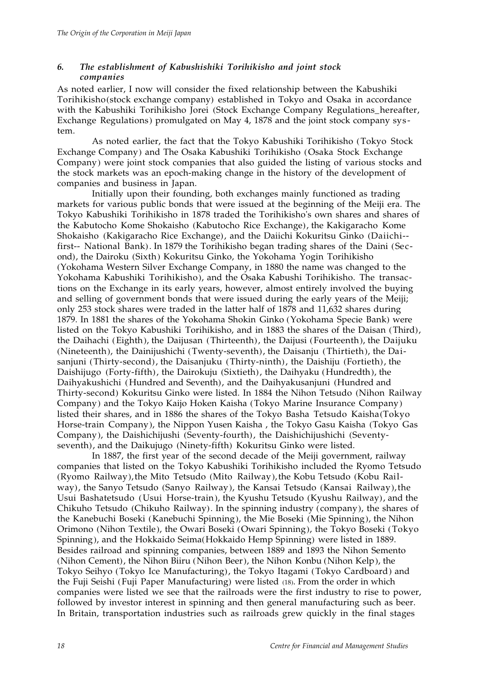# *6. The establishment of Kabushishiki Torihikisho and joint stock companies*

As noted earlier, I now will consider the fixed relationship between the Kabushiki Torihikisho(stock exchange company) established in Tokyo and Osaka in accordance with the Kabushiki Torihikisho Jorei (Stock Exchange Company Regulations\_hereafter, Exchange Regulations) promulgated on May 4, 1878 and the joint stock company system.

As noted earlier, the fact that the Tokyo Kabushiki Torihikisho (Tokyo Stock Exchange Company) and The Osaka Kabushiki Torihikisho (Osaka Stock Exchange Company) were joint stock companies that also guided the listing of various stocks and the stock markets was an epoch-making change in the history of the development of companies and business in Japan.

Initially upon their founding, both exchanges mainly functioned as trading markets for various public bonds that were issued at the beginning of the Meiji era. The Tokyo Kabushiki Torihikisho in 1878 traded the Torihikisho's own shares and shares of the Kabutocho Kome Shokaisho (Kabutocho Rice Exchange), the Kakigaracho Kome Shokaisho (Kakigaracho Rice Exchange), and the Daiichi Kokuritsu Ginko (Daiichi- first-- National Bank). In 1879 the Torihikisho began trading shares of the Daini (Second), the Dairoku (Sixth) Kokuritsu Ginko, the Yokohama Yogin Torihikisho (Yokohama Western Silver Exchange Company, in 1880 the name was changed to the Yokohama Kabushiki Torihikisho), and the Osaka Kabushi Torihikisho. The transactions on the Exchange in its early years, however, almost entirely involved the buying and selling of government bonds that were issued during the early years of the Meiji; only 253 stock shares were traded in the latter half of 1878 and 11,632 shares during 1879. In 1881 the shares of the Yokohama Shokin Ginko (Yokohama Specie Bank) were listed on the Tokyo Kabushiki Torihikisho, and in 1883 the shares of the Daisan (Third), the Daihachi (Eighth), the Daijusan (Thirteenth), the Daijusi (Fourteenth), the Daijuku (Nineteenth), the Dainijushichi (Twenty-seventh), the Daisanju (Thirtieth), the Daisanjuni (Thirty-second), the Daisanjuku (Thirty-ninth), the Daishiju (Fortieth), the Daishijugo (Forty-fifth), the Dairokuju (Sixtieth), the Daihyaku (Hundredth), the Daihyakushichi (Hundred and Seventh), and the Daihyakusanjuni (Hundred and Thirty-second) Kokuritsu Ginko were listed. In 1884 the Nihon Tetsudo (Nihon Railway Company) and the Tokyo Kaijo Hoken Kaisha (Tokyo Marine Insurance Company) listed their shares, and in 1886 the shares of the Tokyo Basha Tetsudo Kaisha(Tokyo Horse-train Company), the Nippon Yusen Kaisha , the Tokyo Gasu Kaisha (Tokyo Gas Company), the Daishichijushi (Seventy-fourth), the Daishichijushichi (Seventyseventh), and the Daikujugo (Ninety-fifth) Kokuritsu Ginko were listed.

In 1887, the first year of the second decade of the Meiji government, railway companies that listed on the Tokyo Kabushiki Torihikisho included the Ryomo Tetsudo (Ryomo Railway), the Mito Tetsudo (Mito Railway), the Kobu Tetsudo (Kobu Railway), the Sanyo Tetsudo (Sanyo Railway), the Kansai Tetsudo (Kansai Railway), the Usui Bashatetsudo (Usui Horse-train), the Kyushu Tetsudo (Kyushu Railway), and the Chikuho Tetsudo (Chikuho Railway). In the spinning industry (company), the shares of the Kanebuchi Boseki (Kanebuchi Spinning), the Mie Boseki (Mie Spinning), the Nihon Orimono (Nihon Textile), the Owari Boseki (Owari Spinning), the Tokyo Boseki (Tokyo Spinning), and the Hokkaido Seima(Hokkaido Hemp Spinning) were listed in 1889. Besides railroad and spinning companies, between 1889 and 1893 the Nihon Semento (Nihon Cement), the Nihon Biiru (Nihon Beer), the Nihon Konbu (Nihon Kelp), the Tokyo Seihyo (Tokyo Ice Manufacturing), the Tokyo Itagami (Tokyo Cardboard) and the Fuji Seishi (Fuji Paper Manufacturing) were listed (18). From the order in which companies were listed we see that the railroads were the first industry to rise to power, followed by investor interest in spinning and then general manufacturing such as beer. In Britain, transportation industries such as railroads grew quickly in the final stages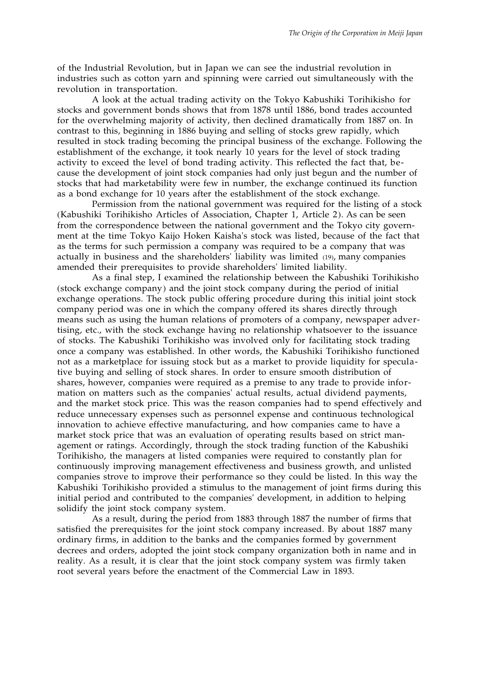of the Industrial Revolution, but in Japan we can see the industrial revolution in industries such as cotton yarn and spinning were carried out simultaneously with the revolution in transportation.

A look at the actual trading activity on the Tokyo Kabushiki Torihikisho for stocks and government bonds shows that from 1878 until 1886, bond trades accounted for the overwhelming majority of activity, then declined dramatically from 1887 on. In contrast to this, beginning in 1886 buying and selling of stocks grew rapidly, which resulted in stock trading becoming the principal business of the exchange. Following the establishment of the exchange, it took nearly 10 years for the level of stock trading activity to exceed the level of bond trading activity. This reflected the fact that, because the development of joint stock companies had only just begun and the number of stocks that had marketability were few in number, the exchange continued its function as a bond exchange for 10 years after the establishment of the stock exchange.

Permission from the national government was required for the listing of a stock (Kabushiki Torihikisho Articles of Association, Chapter 1, Article 2). As can be seen from the correspondence between the national government and the Tokyo city government at the time Tokyo Kaijo Hoken Kaisha's stock was listed, because of the fact that as the terms for such permission a company was required to be a company that was actually in business and the shareholders' liability was limited (19), many companies amended their prerequisites to provide shareholders' limited liability.

As a final step, I examined the relationship between the Kabushiki Torihikisho (stock exchange company) and the joint stock company during the period of initial exchange operations. The stock public offering procedure during this initial joint stock company period was one in which the company offered its shares directly through means such as using the human relations of promoters of a company, newspaper advertising, etc., with the stock exchange having no relationship whatsoever to the issuance of stocks. The Kabushiki Torihikisho was involved only for facilitating stock trading once a company was established. In other words, the Kabushiki Torihikisho functioned not as a marketplace for issuing stock but as a market to provide liquidity for speculative buying and selling of stock shares. In order to ensure smooth distribution of shares, however, companies were required as a premise to any trade to provide information on matters such as the companies' actual results, actual dividend payments, and the market stock price. This was the reason companies had to spend effectively and reduce unnecessary expenses such as personnel expense and continuous technological innovation to achieve effective manufacturing, and how companies came to have a market stock price that was an evaluation of operating results based on strict management or ratings. Accordingly, through the stock trading function of the Kabushiki Torihikisho, the managers at listed companies were required to constantly plan for continuously improving management effectiveness and business growth, and unlisted companies strove to improve their performance so they could be listed. In this way the Kabushiki Torihikisho provided a stimulus to the management of joint firms during this initial period and contributed to the companies' development, in addition to helping solidify the joint stock company system.

As a result, during the period from 1883 through 1887 the number of firms that satisfied the prerequisites for the joint stock company increased. By about 1887 many ordinary firms, in addition to the banks and the companies formed by government decrees and orders, adopted the joint stock company organization both in name and in reality. As a result, it is clear that the joint stock company system was firmly taken root several years before the enactment of the Commercial Law in 1893.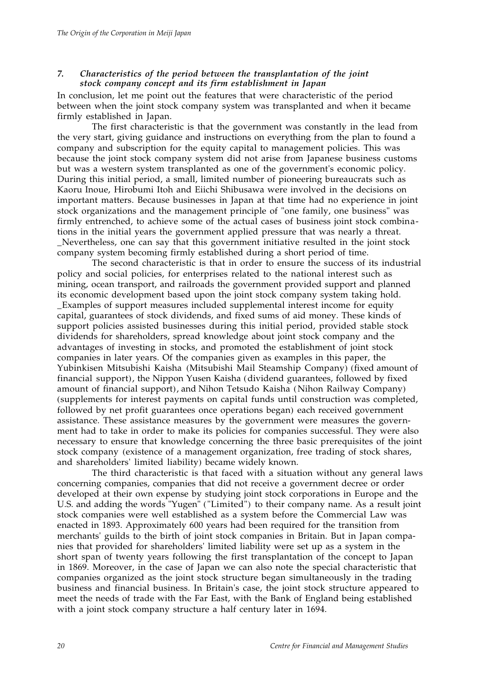#### *7. Characteristics of the period between the transplantation of the joint stock company concept and its firm establishment in Japan*

In conclusion, let me point out the features that were characteristic of the period between when the joint stock company system was transplanted and when it became firmly established in Japan.

The first characteristic is that the government was constantly in the lead from the very start, giving guidance and instructions on everything from the plan to found a company and subscription for the equity capital to management policies. This was because the joint stock company system did not arise from Japanese business customs but was a western system transplanted as one of the government's economic policy. During this initial period, a small, limited number of pioneering bureaucrats such as Kaoru Inoue, Hirobumi Itoh and Eiichi Shibusawa were involved in the decisions on important matters. Because businesses in Japan at that time had no experience in joint stock organizations and the management principle of "one family, one business" was firmly entrenched, to achieve some of the actual cases of business joint stock combinations in the initial years the government applied pressure that was nearly a threat. \_Nevertheless, one can say that this government initiative resulted in the joint stock company system becoming firmly established during a short period of time.

The second characteristic is that in order to ensure the success of its industrial policy and social policies, for enterprises related to the national interest such as mining, ocean transport, and railroads the government provided support and planned its economic development based upon the joint stock company system taking hold. \_Examples of support measures included supplemental interest income for equity capital, guarantees of stock dividends, and fixed sums of aid money. These kinds of support policies assisted businesses during this initial period, provided stable stock dividends for shareholders, spread knowledge about joint stock company and the advantages of investing in stocks, and promoted the establishment of joint stock companies in later years. Of the companies given as examples in this paper, the Yubinkisen Mitsubishi Kaisha (Mitsubishi Mail Steamship Company) (fixed amount of financial support), the Nippon Yusen Kaisha (dividend guarantees, followed by fixed amount of financial support), and Nihon Tetsudo Kaisha (Nihon Railway Company) (supplements for interest payments on capital funds until construction was completed, followed by net profit guarantees once operations began) each received government assistance. These assistance measures by the government were measures the government had to take in order to make its policies for companies successful. They were also necessary to ensure that knowledge concerning the three basic prerequisites of the joint stock company (existence of a management organization, free trading of stock shares, and shareholders' limited liability) became widely known.

The third characteristic is that faced with a situation without any general laws concerning companies, companies that did not receive a government decree or order developed at their own expense by studying joint stock corporations in Europe and the U.S. and adding the words "Yugen" ("Limited") to their company name. As a result joint stock companies were well established as a system before the Commercial Law was enacted in 1893. Approximately 600 years had been required for the transition from merchants' guilds to the birth of joint stock companies in Britain. But in Japan companies that provided for shareholders' limited liability were set up as a system in the short span of twenty years following the first transplantation of the concept to Japan in 1869. Moreover, in the case of Japan we can also note the special characteristic that companies organized as the joint stock structure began simultaneously in the trading business and financial business. In Britain's case, the joint stock structure appeared to meet the needs of trade with the Far East, with the Bank of England being established with a joint stock company structure a half century later in 1694.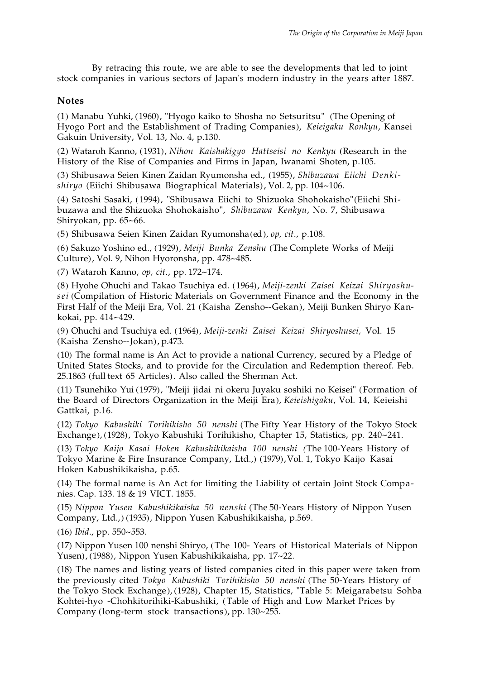By retracing this route, we are able to see the developments that led to joint stock companies in various sectors of Japan's modern industry in the years after 1887.

# **Notes**

(1) Manabu Yuhki, (1960), "Hyogo kaiko to Shosha no Setsuritsu" (The Opening of Hyogo Port and the Establishment of Trading Companies), *Keieigaku Ronkyu*, Kansei Gakuin University, Vol. 13, No. 4, p.130.

(2) Wataroh Kanno, (1931), *Nihon Kaishakigyo Hattseisi no Kenkyu* (Research in the History of the Rise of Companies and Firms in Japan, Iwanami Shoten, p.105.

(3) Shibusawa Seien Kinen Zaidan Ryumonsha ed., (1955), *Shibuzawa Eiichi Denkishiryo* (Eiichi Shibusawa Biographical Materials), Vol. 2, pp. 104~106.

(4) Satoshi Sasaki, (1994), "Shibusawa Eiichi to Shizuoka Shohokaisho"(Eiichi Shibuzawa and the Shizuoka Shohokaisho", *Shibuzawa Kenkyu*, No. 7, Shibusawa Shiryokan, pp. 65~66.

(5) Shibusawa Seien Kinen Zaidan Ryumonsha(ed), *op, cit*., p.108.

(6) Sakuzo Yoshino ed., (1929), *Meiji Bunka Zenshu* (The Complete Works of Meiji Culture), Vol. 9, Nihon Hyoronsha, pp. 478~485.

(7) Wataroh Kanno, *op, cit*., pp. 172~174.

(8) Hyohe Ohuchi and Takao Tsuchiya ed. (1964), *Meiji-zenki Zaisei Keizai Shiryoshusei* (Compilation of Historic Materials on Government Finance and the Economy in the First Half of the Meiji Era, Vol. 21 (Kaisha Zensho--Gekan), Meiji Bunken Shiryo Kankokai, pp. 414~429.

(9) Ohuchi and Tsuchiya ed. (1964), *Meiji-zenki Zaisei Keizai Shiryoshusei,* Vol. 15 (Kaisha Zensho--Jokan), p.473.

(10) The formal name is An Act to provide a national Currency, secured by a Pledge of United States Stocks, and to provide for the Circulation and Redemption thereof. Feb. 25.1863 (full text 65 Articles). Also called the Sherman Act.

(11) Tsunehiko Yui (1979), "Meiji jidai ni okeru Juyaku soshiki no Keisei" (Formation of the Board of Directors Organization in the Meiji Era), *Keieishigaku*, Vol. 14, Keieishi Gattkai, p.16.

(12) *Tokyo Kabushiki Torihikisho 50 nenshi* (The Fifty Year History of the Tokyo Stock Exchange), (1928), Tokyo Kabushiki Torihikisho, Chapter 15, Statistics, pp. 240~241.

(13) *Tokyo Kaijo Kasai Hoken Kabushikikaisha 100 nenshi (*The 100-Years History of Tokyo Marine & Fire Insurance Company, Ltd.,) (1979), Vol. 1, Tokyo Kaijo Kasai Hoken Kabushikikaisha, p.65.

(14) The formal name is An Act for limiting the Liability of certain Joint Stock Companies. Cap. 133. 18 & 19 VICT. 1855.

(15) *Nippon Yusen Kabushikikaisha 50 nenshi* (The 50-Years History of Nippon Yusen Company, Ltd.,) (1935), Nippon Yusen Kabushikikaisha, p.569.

(16) *Ibid*., pp. 550~553.

(17) Nippon Yusen 100 nenshi Shiryo, (The 100- Years of Historical Materials of Nippon Yusen), (1988), Nippon Yusen Kabushikikaisha, pp. 17~22.

(18) The names and listing years of listed companies cited in this paper were taken from the previously cited *Tokyo Kabushiki Torihikisho 50 nenshi* (The 50-Years History of the Tokyo Stock Exchange), (1928), Chapter 15, Statistics, "Table 5: Meigarabetsu Sohba Kohtei-hyo -Chohkitorihiki-Kabushiki, (Table of High and Low Market Prices by Company (long-term stock transactions), pp. 130~255.